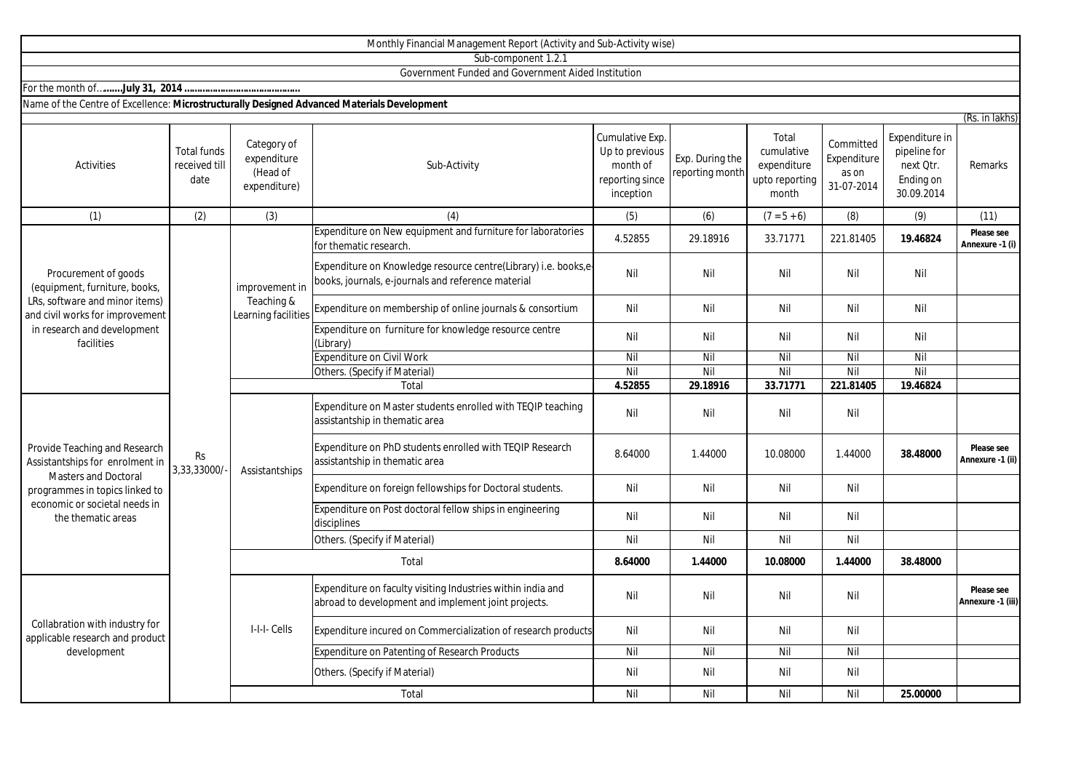|                                                                                                                                                                                          |                                             |                                                        | Monthly Financial Management Report (Activity and Sub-Activity wise)                                                  |                                                                               |                                    |                                                               |                                                 |                                                                        |                                 |
|------------------------------------------------------------------------------------------------------------------------------------------------------------------------------------------|---------------------------------------------|--------------------------------------------------------|-----------------------------------------------------------------------------------------------------------------------|-------------------------------------------------------------------------------|------------------------------------|---------------------------------------------------------------|-------------------------------------------------|------------------------------------------------------------------------|---------------------------------|
|                                                                                                                                                                                          |                                             |                                                        | Sub-component 1.2.1                                                                                                   |                                                                               |                                    |                                                               |                                                 |                                                                        |                                 |
|                                                                                                                                                                                          |                                             |                                                        | Government Funded and Government Aided Institution                                                                    |                                                                               |                                    |                                                               |                                                 |                                                                        |                                 |
|                                                                                                                                                                                          |                                             |                                                        |                                                                                                                       |                                                                               |                                    |                                                               |                                                 |                                                                        |                                 |
| Name of the Centre of Excellence: Microstructurally Designed Advanced Materials Development                                                                                              |                                             |                                                        |                                                                                                                       |                                                                               |                                    |                                                               |                                                 |                                                                        |                                 |
| Activities                                                                                                                                                                               | <b>Total funds</b><br>received till<br>date | Category of<br>expenditure<br>(Head of<br>expenditure) | Sub-Activity                                                                                                          | Cumulative Exp.<br>Up to previous<br>month of<br>reporting since<br>inception | Exp. During the<br>reporting month | Total<br>cumulative<br>expenditure<br>upto reporting<br>month | Committed<br>Expenditure<br>as on<br>31-07-2014 | Expenditure in<br>pipeline for<br>next Qtr.<br>Ending on<br>30.09.2014 | (Rs. in lakhs)<br>Remarks       |
| (1)                                                                                                                                                                                      | (2)                                         | (3)                                                    | (4)                                                                                                                   | (5)                                                                           | (6)                                | $(7 = 5 + 6)$                                                 | (8)                                             | (9)                                                                    | (11)                            |
|                                                                                                                                                                                          | Rs<br>3,33,33000/                           | improvement in<br>Teaching &<br>Learning facilities    | Expenditure on New equipment and furniture for laboratories<br>for thematic research.                                 | 4.52855                                                                       | 29.18916                           | 33.71771                                                      | 221.81405                                       | 19.46824                                                               | Please see<br>Annexure -1 (i)   |
| Procurement of goods<br>(equipment, furniture, books,<br>LRs, software and minor items)<br>and civil works for improvement<br>in research and development<br>facilities                  |                                             |                                                        | Expenditure on Knowledge resource centre(Library) i.e. books,e-<br>books, journals, e-journals and reference material | Nil                                                                           | Nil                                | Nil                                                           | Nil                                             | Nil                                                                    |                                 |
|                                                                                                                                                                                          |                                             |                                                        | Expenditure on membership of online journals & consortium                                                             | Nil                                                                           | Nil                                | Nil                                                           | Nil                                             | Nil                                                                    |                                 |
|                                                                                                                                                                                          |                                             |                                                        | Expenditure on furniture for knowledge resource centre<br>(Library)                                                   | Nil                                                                           | Nil                                | Nil                                                           | Nil                                             | Nil                                                                    |                                 |
|                                                                                                                                                                                          |                                             |                                                        | <b>Expenditure on Civil Work</b>                                                                                      | Nil                                                                           | Nil                                | Nil                                                           | Nil                                             | Nil                                                                    |                                 |
|                                                                                                                                                                                          |                                             |                                                        | Others. (Specify if Material)                                                                                         | Nil                                                                           | Nil                                | Nil                                                           | Nil                                             | Nil                                                                    |                                 |
|                                                                                                                                                                                          |                                             |                                                        | Total                                                                                                                 | 4.52855                                                                       | 29.18916                           | 33.71771                                                      | 221.81405                                       | 19.46824                                                               |                                 |
| Provide Teaching and Research<br>Assistantships for enrolment in<br><b>Masters and Doctoral</b><br>programmes in topics linked to<br>economic or societal needs in<br>the thematic areas |                                             | Assistantships                                         | Expenditure on Master students enrolled with TEQIP teaching<br>assistantship in thematic area                         | Nil                                                                           | Nil                                | Nil                                                           | Nil                                             |                                                                        |                                 |
|                                                                                                                                                                                          |                                             |                                                        | Expenditure on PhD students enrolled with TEQIP Research<br>assistantship in thematic area                            | 8.64000                                                                       | 1.44000                            | 10.08000                                                      | 1.44000                                         | 38.48000                                                               | Please see<br>Annexure -1 (ii)  |
|                                                                                                                                                                                          |                                             |                                                        | Expenditure on foreign fellowships for Doctoral students.                                                             | Nil                                                                           | Nil                                | Nil                                                           | Nil                                             |                                                                        |                                 |
|                                                                                                                                                                                          |                                             |                                                        | Expenditure on Post doctoral fellow ships in engineering<br>disciplines                                               | Nil                                                                           | Nil                                | Nil                                                           | Nil                                             |                                                                        |                                 |
|                                                                                                                                                                                          |                                             |                                                        | Others. (Specify if Material)                                                                                         | Nil                                                                           | Nil                                | Nil                                                           | Nil                                             |                                                                        |                                 |
|                                                                                                                                                                                          |                                             | Total                                                  |                                                                                                                       | 8.64000                                                                       | 1.44000                            | 10.08000                                                      | 1.44000                                         | 38.48000                                                               |                                 |
| Collabration with industry for<br>applicable research and product<br>development                                                                                                         |                                             | I-I-I-Cells                                            | Expenditure on faculty visiting Industries within india and<br>abroad to development and implement joint projects.    | Nil                                                                           | Nil                                | Nil                                                           | Nil                                             |                                                                        | Please see<br>Annexure -1 (iii) |
|                                                                                                                                                                                          |                                             |                                                        | Expenditure incured on Commercialization of research products                                                         | Nil                                                                           | Nil                                | Nil                                                           | Nil                                             |                                                                        |                                 |
|                                                                                                                                                                                          |                                             |                                                        | Expenditure on Patenting of Research Products                                                                         | Nil                                                                           | Nil                                | Nil                                                           | Nil                                             |                                                                        |                                 |
|                                                                                                                                                                                          |                                             |                                                        | Others. (Specify if Material)                                                                                         | Nil                                                                           | Nil                                | Nil                                                           | Nil                                             |                                                                        |                                 |
|                                                                                                                                                                                          |                                             |                                                        | Total                                                                                                                 | Nil                                                                           | Nil                                | Nil                                                           | Nil                                             | 25.00000                                                               |                                 |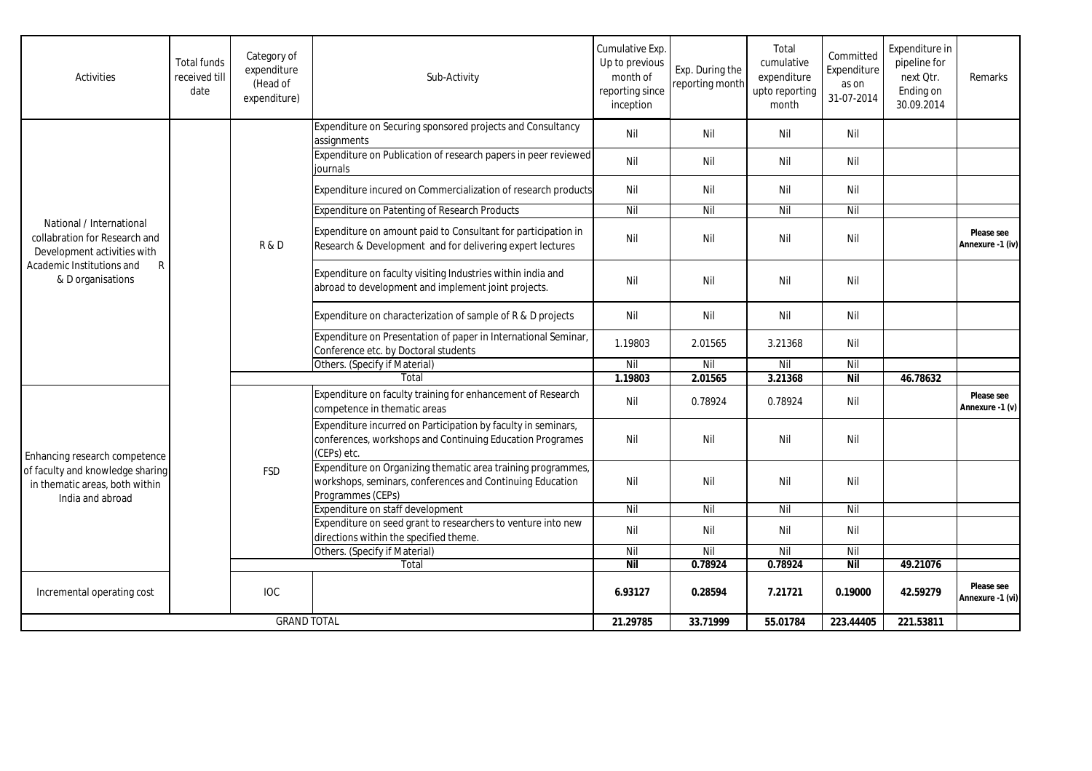| Activities                                                                                                                                      | <b>Total funds</b><br>received till<br>date | Category of<br>expenditure<br>(Head of<br>expenditure) | Sub-Activity                                                                                                                                   | Cumulative Exp.<br>Up to previous<br>month of<br>reporting since<br>inception | Exp. During the<br>reporting month | Total<br>cumulative<br>expenditure<br>upto reporting<br>month | Committed<br>Expenditure<br>as on<br>31-07-2014 | Expenditure in<br>pipeline for<br>next Qtr.<br>Ending on<br>30.09.2014 | Remarks                        |
|-------------------------------------------------------------------------------------------------------------------------------------------------|---------------------------------------------|--------------------------------------------------------|------------------------------------------------------------------------------------------------------------------------------------------------|-------------------------------------------------------------------------------|------------------------------------|---------------------------------------------------------------|-------------------------------------------------|------------------------------------------------------------------------|--------------------------------|
| National / International<br>collabration for Research and<br>Development activities with<br>Academic Institutions and<br>R<br>& D organisations |                                             | R&D                                                    | Expenditure on Securing sponsored projects and Consultancy<br>assignments                                                                      | Nil                                                                           | Nil                                | Nil                                                           | Nil                                             |                                                                        |                                |
|                                                                                                                                                 |                                             |                                                        | Expenditure on Publication of research papers in peer reviewed<br>iournals                                                                     | Nil                                                                           | Nil                                | Nil                                                           | Nil                                             |                                                                        |                                |
|                                                                                                                                                 |                                             |                                                        | Expenditure incured on Commercialization of research products                                                                                  | Nil                                                                           | Nil                                | Nil                                                           | Nil                                             |                                                                        |                                |
|                                                                                                                                                 |                                             |                                                        | Expenditure on Patenting of Research Products                                                                                                  | Nil                                                                           | Nil                                | Nil                                                           | Nil                                             |                                                                        |                                |
|                                                                                                                                                 |                                             |                                                        | Expenditure on amount paid to Consultant for participation in<br>Research & Development and for delivering expert lectures                     | Nil                                                                           | Nil                                | Nil                                                           | Nil                                             |                                                                        | Please see<br>Annexure -1 (iv) |
|                                                                                                                                                 |                                             |                                                        | Expenditure on faculty visiting Industries within india and<br>abroad to development and implement joint projects.                             | Nil                                                                           | Nil                                | Nil                                                           | Nil                                             |                                                                        |                                |
|                                                                                                                                                 |                                             |                                                        | Expenditure on characterization of sample of R & D projects                                                                                    | Nil                                                                           | Nil                                | Nil                                                           | Nil                                             |                                                                        |                                |
|                                                                                                                                                 |                                             |                                                        | Expenditure on Presentation of paper in International Seminar,<br>Conference etc. by Doctoral students                                         | 1.19803                                                                       | 2.01565                            | 3.21368                                                       | Nil                                             |                                                                        |                                |
|                                                                                                                                                 |                                             |                                                        | Others. (Specify if Material)                                                                                                                  | Nil                                                                           | Nil                                | Nil                                                           | Nil                                             |                                                                        |                                |
|                                                                                                                                                 |                                             | Total                                                  |                                                                                                                                                | 1.19803                                                                       | 2.01565                            | 3.21368                                                       | <b>Nil</b>                                      | 46.78632                                                               |                                |
| Enhancing research competence<br>of faculty and knowledge sharing<br>in thematic areas, both within<br>India and abroad                         |                                             | <b>FSD</b>                                             | Expenditure on faculty training for enhancement of Research<br>competence in thematic areas                                                    | Nil                                                                           | 0.78924                            | 0.78924                                                       | Nil                                             |                                                                        | Please see<br>Annexure -1 (v)  |
|                                                                                                                                                 |                                             |                                                        | Expenditure incurred on Participation by faculty in seminars,<br>conferences, workshops and Continuing Education Programes<br>(CEPs) etc.      | Nil                                                                           | Nil                                | Nil                                                           | Nil                                             |                                                                        |                                |
|                                                                                                                                                 |                                             |                                                        | Expenditure on Organizing thematic area training programmes,<br>workshops, seminars, conferences and Continuing Education<br>Programmes (CEPs) | Nil                                                                           | Nil                                | Nil                                                           | Nil                                             |                                                                        |                                |
|                                                                                                                                                 |                                             |                                                        | Expenditure on staff development                                                                                                               | Nil                                                                           | Nil                                | Nil                                                           | Nil                                             |                                                                        |                                |
|                                                                                                                                                 |                                             |                                                        | Expenditure on seed grant to researchers to venture into new<br>directions within the specified theme.                                         | Nil                                                                           | Nil                                | Nil                                                           | Nil                                             |                                                                        |                                |
|                                                                                                                                                 |                                             |                                                        | Others. (Specify if Material)                                                                                                                  | Nil                                                                           | Nil                                | Nil                                                           | Nil                                             |                                                                        |                                |
|                                                                                                                                                 |                                             |                                                        | Total                                                                                                                                          | <b>Nil</b>                                                                    | 0.78924                            | 0.78924                                                       | <b>Nil</b>                                      | 49.21076                                                               |                                |
| Incremental operating cost                                                                                                                      |                                             | <b>IOC</b>                                             |                                                                                                                                                | 6.93127                                                                       | 0.28594                            | 7.21721                                                       | 0.19000                                         | 42.59279                                                               | Please see<br>Annexure -1 (vi) |
| <b>GRAND TOTAL</b>                                                                                                                              |                                             |                                                        | 21.29785                                                                                                                                       | 33.71999                                                                      | 55.01784                           | 223.44405                                                     | 221.53811                                       |                                                                        |                                |